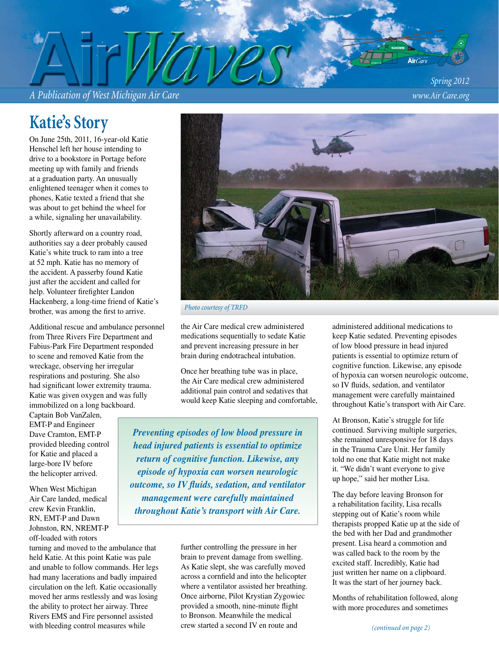*A Publication of West Michigan Air Care www.Air Care.org*

*Spring 2012*

# **Katie's Story**

On June 25th, 2011, 16-year-old Katie Henschel left her house intending to drive to a bookstore in Portage before meeting up with family and friends at a graduation party. An unusually enlightened teenager when it comes to phones, Katie texted a friend that she was about to get behind the wheel for a while, signaling her unavailability.

Shortly afterward on a country road, authorities say a deer probably caused Katie's white truck to ram into a tree at 52 mph. Katie has no memory of the accident. A passerby found Katie just after the accident and called for help. Volunteer firefighter Landon Hackenberg, a long-time friend of Katie's brother, was among the first to arrive.

Additional rescue and ambulance personnel from Three Rivers Fire Department and Fabius-Park Fire Department responded to scene and removed Katie from the wreckage, observing her irregular respirations and posturing. She also had significant lower extremity trauma. Katie was given oxygen and was fully immobilized on a long backboard.

Captain Bob VanZalen, EMT-P and Engineer Dave Cramton, EMT-P provided bleeding control for Katie and placed a large-bore IV before the helicopter arrived.

When West Michigan Air Care landed, medical crew Kevin Franklin, RN, EMT-P and Dawn Johnston, RN, NREMT-P off-loaded with rotors

turning and moved to the ambulance that held Katie. At this point Katie was pale and unable to follow commands. Her legs had many lacerations and badly impaired circulation on the left. Katie occasionally moved her arms restlessly and was losing the ability to protect her airway. Three Rivers EMS and Fire personnel assisted with bleeding control measures while



*Photo courtesy of TRFD*

the Air Care medical crew administered medications sequentially to sedate Katie and prevent increasing pressure in her brain during endotracheal intubation.

Once her breathing tube was in place, the Air Care medical crew administered additional pain control and sedatives that would keep Katie sleeping and comfortable,

*Preventing episodes of low blood pressure in head injured patients is essential to optimize return of cognitive function. Likewise, any episode of hypoxia can worsen neurologic outcome, so IV fluids, sedation, and ventilator management were carefully maintained throughout Katie's transport with Air Care.*

> further controlling the pressure in her brain to prevent damage from swelling. As Katie slept, she was carefully moved across a cornfield and into the helicopter where a ventilator assisted her breathing. Once airborne, Pilot Krystian Zygowiec provided a smooth, nine-minute flight to Bronson. Meanwhile the medical crew started a second IV en route and

administered additional medications to keep Katie sedated. Preventing episodes of low blood pressure in head injured patients is essential to optimize return of cognitive function. Likewise, any episode of hypoxia can worsen neurologic outcome, so IV fluids, sedation, and ventilator management were carefully maintained throughout Katie's transport with Air Care.

At Bronson, Katie's struggle for life continued. Surviving multiple surgeries, she remained unresponsive for 18 days in the Trauma Care Unit. Her family told no one that Katie might not make it. "We didn't want everyone to give up hope," said her mother Lisa.

The day before leaving Bronson for a rehabilitation facility, Lisa recalls stepping out of Katie's room while therapists propped Katie up at the side of the bed with her Dad and grandmother present. Lisa heard a commotion and was called back to the room by the excited staff. Incredibly, Katie had just written her name on a clipboard. It was the start of her journey back.

Months of rehabilitation followed, along with more procedures and sometimes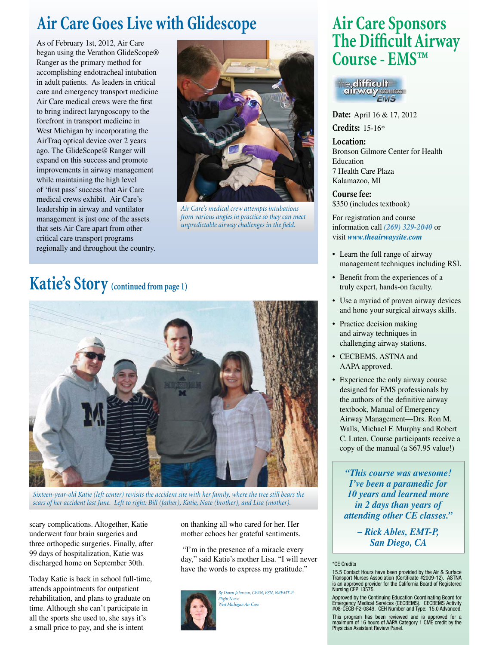# **Air Care Goes Live with Glidescope**

As of February 1st, 2012, Air Care began using the Verathon GlideScope® Ranger as the primary method for accomplishing endotracheal intubation in adult patients. As leaders in critical care and emergency transport medicine Air Care medical crews were the first to bring indirect laryngoscopy to the forefront in transport medicine in West Michigan by incorporating the AirTraq optical device over 2 years ago. The GlideScope® Ranger will expand on this success and promote improvements in airway management while maintaining the high level of 'first pass' success that Air Care medical crews exhibit. Air Care's leadership in airway and ventilator management is just one of the assets that sets Air Care apart from other critical care transport programs regionally and throughout the country.



*Air Care's medical crew attempts intubations from various angles in practice so they can meet unpredictable airway challenges in the field.* 

### **Katie's Story (continued from page 1)**



*Sixteen-year-old Katie (left center) revisits the accident site with her family, where the tree still bears the scars of her accident last June. Left to right: Bill (father), Katie, Nate (brother), and Lisa (mother).*

scary complications. Altogether, Katie underwent four brain surgeries and three orthopedic surgeries. Finally, after 99 days of hospitalization, Katie was discharged home on September 30th.

Today Katie is back in school full-time, attends appointments for outpatient rehabilitation, and plans to graduate on time. Although she can't participate in all the sports she used to, she says it's a small price to pay, and she is intent

on thanking all who cared for her. Her mother echoes her grateful sentiments.

 "I'm in the presence of a miracle every day," said Katie's mother Lisa. "I will never have the words to express my gratitude."



*By Dawn Johnston, CFRN, BSN, NREMT-P Flight Nurse West Michigan Air Care*

### **Air Care Sponsors The Difficult Airway Course - EMS™**



**Date:** April 16 & 17, 2012 **Credits:** 15-16\*

**Location:**  Bronson Gilmore Center for Health Education 7 Health Care Plaza Kalamazoo, MI

**Course fee:**  \$350 (includes textbook)

For registration and course information call *(269) 329-2040* or visit *www.theairwaysite.com*

- Learn the full range of airway management techniques including RSI.
- Benefit from the experiences of a truly expert, hands-on faculty.
- Use a myriad of proven airway devices and hone your surgical airways skills.
- Practice decision making and airway techniques in challenging airway stations.
- CECBEMS, ASTNA and AAPA approved.
- Experience the only airway course designed for EMS professionals by the authors of the definitive airway textbook, Manual of Emergency Airway Management—Drs. Ron M. Walls, Michael F. Murphy and Robert C. Luten. Course participants receive a copy of the manual (a \$67.95 value!)

*"This course was awesome! I've been a paramedic for 10 years and learned more in 2 days than years of attending other CE classes."* 

> *– Rick Ables, EMT-P, San Diego, CA*

#### \*CE Credits

15.5 Contact Hours have been provided by the Air & Surface Transport Nurses Association (Certificate #2009-12). ASTNA<br>is an approved provider for the California Board of Registered<br>Nursing CEP 13575.

Approved by the Continuing Education Coordinating Board for Emergency Medical Services (CECBEMS). CECBEMS Activity #08-CECB-F2-0849. CEH Number and Type: 15.0 Advanced.

This program has been reviewed and is approved for a maximum of 16 hours of AAPA Category 1 CME credit by the Physician Assistant Review Panel.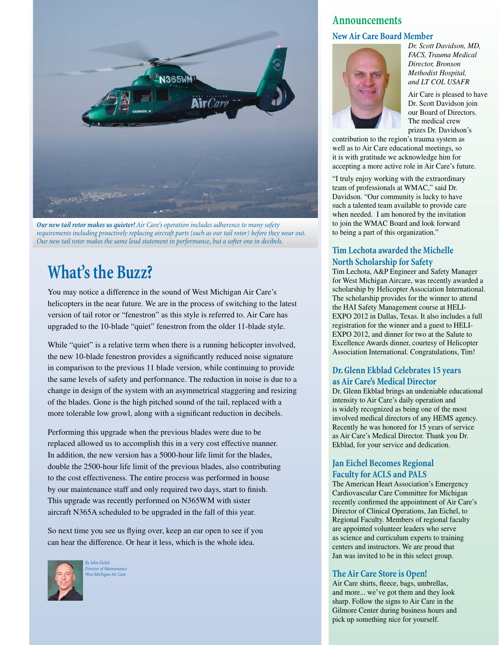

*Our new tail rotor makes us quieter! Air Care's operation includes adherence to many safety requirements including proactively replacing aircraft parts (such as our tail rotor) before they wear out. Our new tail rotor makes the same loud statement in performance, but a softer one in decibels.*

### **What's the Buzz?**

You may notice a difference in the sound of West Michigan Air Care's helicopters in the near future. We are in the process of switching to the latest version of tail rotor or "fenestron" as this style is referred to. Air Care has upgraded to the 10-blade "quiet" fenestron from the older 11-blade style.

While "quiet" is a relative term when there is a running helicopter involved, the new 10-blade fenestron provides a significantly reduced noise signature in comparison to the previous 11 blade version, while continuing to provide the same levels of safety and performance. The reduction in noise is due to a change in design of the system with an asymmetrical staggering and resizing of the blades. Gone is the high pitched sound of the tail, replaced with a more tolerable low growl, along with a significant reduction in decibels.

Performing this upgrade when the previous blades were due to be replaced allowed us to accomplish this in a very cost effective manner. In addition, the new version has a 5000-hour life limit for the blades, double the 2500-hour life limit of the previous blades, also contributing to the cost effectiveness. The entire process was performed in house by our maintenance staff and only required two days, start to finish. This upgrade was recently performed on N365WM with sister aircraft N365A scheduled to be upgraded in the fall of this year.

So next time you see us flying over, keep an ear open to see if you can hear the difference. Or hear it less, which is the whole idea.



*By John Eichel Director of Maintenance West Michigan Air Care*

#### **Announcements**

#### **New Air Care Board Member**



*Dr. Scott Davidson, MD, FACS, Trauma Medical Director, Bronson Methodist Hospital, and LT COL USAFR*

Air Care is pleased to have Dr. Scott Davidson join our Board of Directors. The medical crew prizes Dr. Davidson's

contribution to the region's trauma system as well as to Air Care educational meetings, so it is with gratitude we acknowledge him for accepting a more active role in Air Care's future.

"I truly enjoy working with the extraordinary team of professionals at WMAC," said Dr. Davidson. "Our community is lucky to have such a talented team available to provide care when needed. I am honored by the invitation to join the WMAC Board and look forward to being a part of this organization."

#### **Tim Lechota awarded the Michelle North Scholarship for Safety**

Tim Lechota, A&P Engineer and Safety Manager for West Michigan Aircare, was recently awarded a scholarship by Helicopter Association International. The scholarship provides for the winner to attend the HAI Safety Management course at HELI-EXPO 2012 in Dallas, Texas. It also includes a full registration for the winner and a guest to HELI-EXPO 2012, and dinner for two at the Salute to Excellence Awards dinner, courtesy of Helicopter Association International. Congratulations, Tim!

#### **Dr. Glenn Ekblad Celebrates 15 years as Air Care's Medical Director**

Dr. Glenn Ekblad brings an undeniable educational intensity to Air Care's daily operation and is widely recognized as being one of the most involved medical directors of any HEMS agency. Recently he was honored for 15 years of service as Air Care's Medical Director. Thank you Dr. Ekblad, for your service and dedication.

#### **Jan Eichel Becomes Regional Faculty for ACLS and PALS**

The American Heart Association's Emergency Cardiovascular Care Committee for Michigan recently confirmed the appointment of Air Care's Director of Clinical Operations, Jan Eichel, to Regional Faculty. Members of regional faculty are appointed volunteer leaders who serve as science and curriculum experts to training centers and instructors. We are proud that Jan was invited to be in this select group.

#### **The Air Care Store is Open!**

Air Care shirts, fleece, bags, umbrellas, and more... we've got them and they look sharp. Follow the signs to Air Care in the Gilmore Center during business hours and pick up something nice for yourself.